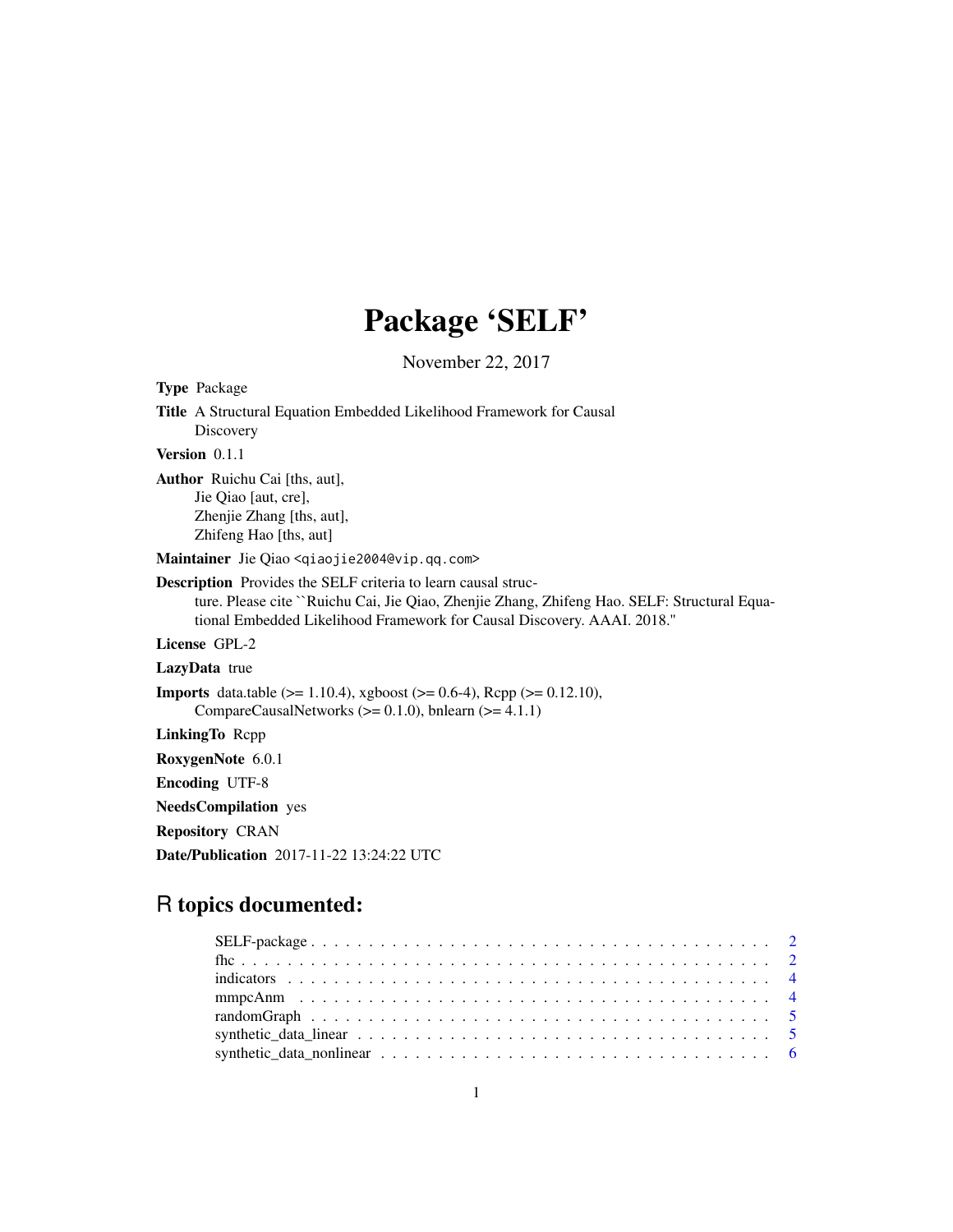# Package 'SELF'

November 22, 2017

| <b>Type Package</b>                                                                                                                                                                                                                             |
|-------------------------------------------------------------------------------------------------------------------------------------------------------------------------------------------------------------------------------------------------|
| <b>Title</b> A Structural Equation Embedded Likelihood Framework for Causal<br>Discovery                                                                                                                                                        |
| <b>Version</b> $0.1.1$                                                                                                                                                                                                                          |
| <b>Author</b> Ruichu Cai [ths, aut],<br>Jie Qiao [aut, cre],<br>Zhenjie Zhang [ths, aut],<br>Zhifeng Hao [ths, aut]                                                                                                                             |
| Maintainer Jie Qiao <qiaojie2004@vip.qq.com></qiaojie2004@vip.qq.com>                                                                                                                                                                           |
| <b>Description</b> Provides the SELF criteria to learn causal struc-<br>ture. Please cite ``Ruichu Cai, Jie Qiao, Zhenjie Zhang, Zhifeng Hao. SELF: Structural Equa-<br>tional Embedded Likelihood Framework for Causal Discovery. AAAI. 2018." |
| License GPL-2                                                                                                                                                                                                                                   |
| <b>LazyData</b> true                                                                                                                                                                                                                            |
| <b>Imports</b> data.table ( $> = 1.10.4$ ), xgboost ( $> = 0.6-4$ ), Rcpp ( $> = 0.12.10$ ),<br>CompareCausalNetworks ( $> = 0.1.0$ ), bnlearn ( $>= 4.1.1$ )                                                                                   |
| LinkingTo Repp                                                                                                                                                                                                                                  |
| RoxygenNote 6.0.1                                                                                                                                                                                                                               |
| <b>Encoding UTF-8</b>                                                                                                                                                                                                                           |
| <b>NeedsCompilation</b> yes                                                                                                                                                                                                                     |
| <b>Repository CRAN</b>                                                                                                                                                                                                                          |
| <b>Date/Publication</b> 2017-11-22 13:24:22 UTC                                                                                                                                                                                                 |

# R topics documented: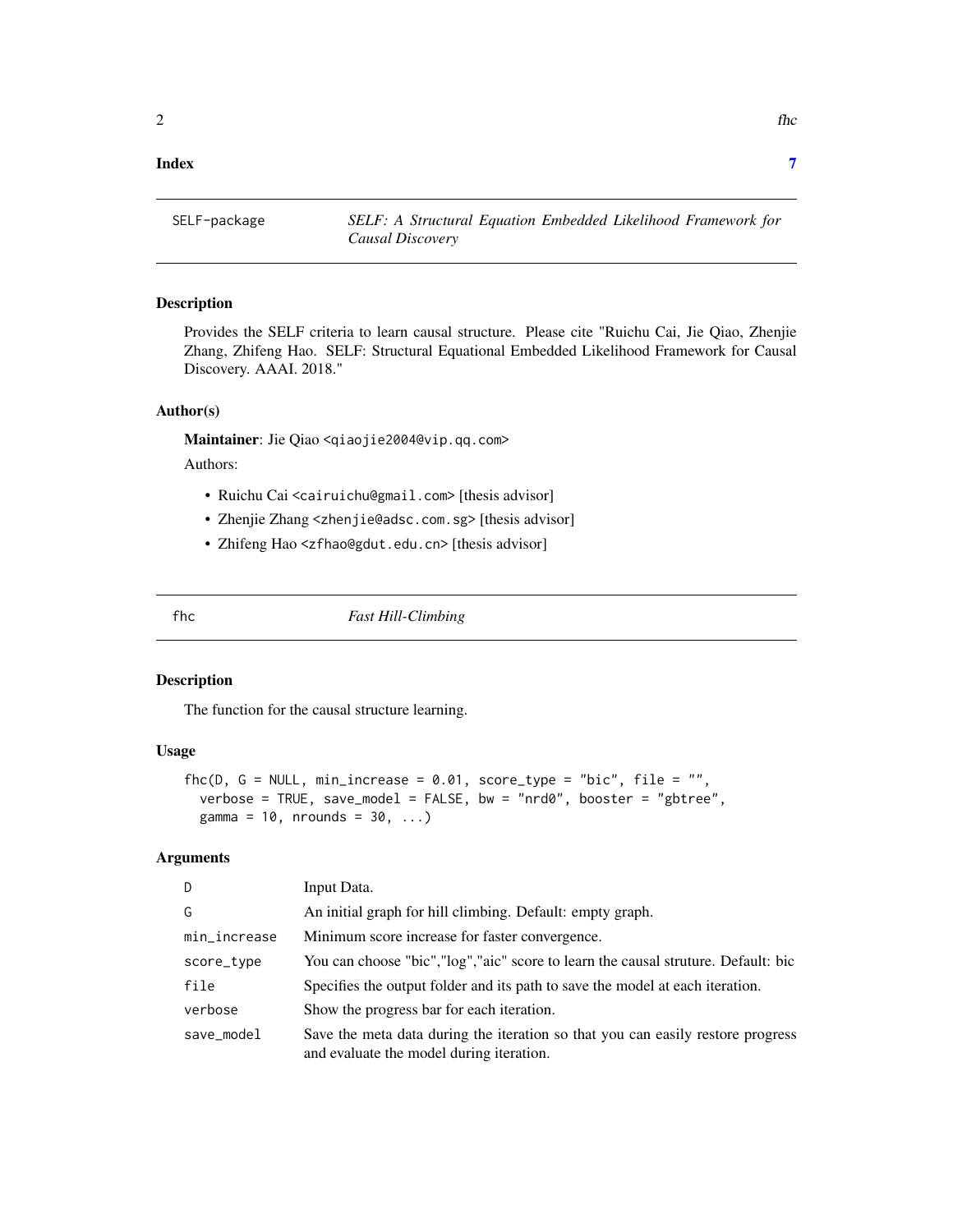#### <span id="page-1-0"></span>**Index** [7](#page-6-0) **7**

SELF-package *SELF: A Structural Equation Embedded Likelihood Framework for Causal Discovery*

#### Description

Provides the SELF criteria to learn causal structure. Please cite "Ruichu Cai, Jie Qiao, Zhenjie Zhang, Zhifeng Hao. SELF: Structural Equational Embedded Likelihood Framework for Causal Discovery. AAAI. 2018."

### Author(s)

Maintainer: Jie Qiao <qiaojie2004@vip.qq.com>

Authors:

- Ruichu Cai <cairuichu@gmail.com> [thesis advisor]
- Zhenjie Zhang <zhenjie@adsc.com.sg> [thesis advisor]
- Zhifeng Hao <zfhao@gdut.edu.cn> [thesis advisor]

fhc *Fast Hill-Climbing*

#### Description

The function for the causal structure learning.

#### Usage

```
fhc(D, G = NULL, min_increase = 0.01, score_type = "bic", file = "",verbose = TRUE, save_model = FALSE, bw = "nrd0", booster = "gbtree",
  gamma = 10, nrounds = 30, \ldots)
```
### Arguments

| D            | Input Data.                                                                                                                 |
|--------------|-----------------------------------------------------------------------------------------------------------------------------|
| G            | An initial graph for hill climbing. Default: empty graph.                                                                   |
| min_increase | Minimum score increase for faster convergence.                                                                              |
| score_type   | You can choose "bic", "log", "aic" score to learn the causal struture. Default: bic                                         |
| file         | Specifies the output folder and its path to save the model at each iteration.                                               |
| verbose      | Show the progress bar for each iteration.                                                                                   |
| save_model   | Save the meta data during the iteration so that you can easily restore progress<br>and evaluate the model during iteration. |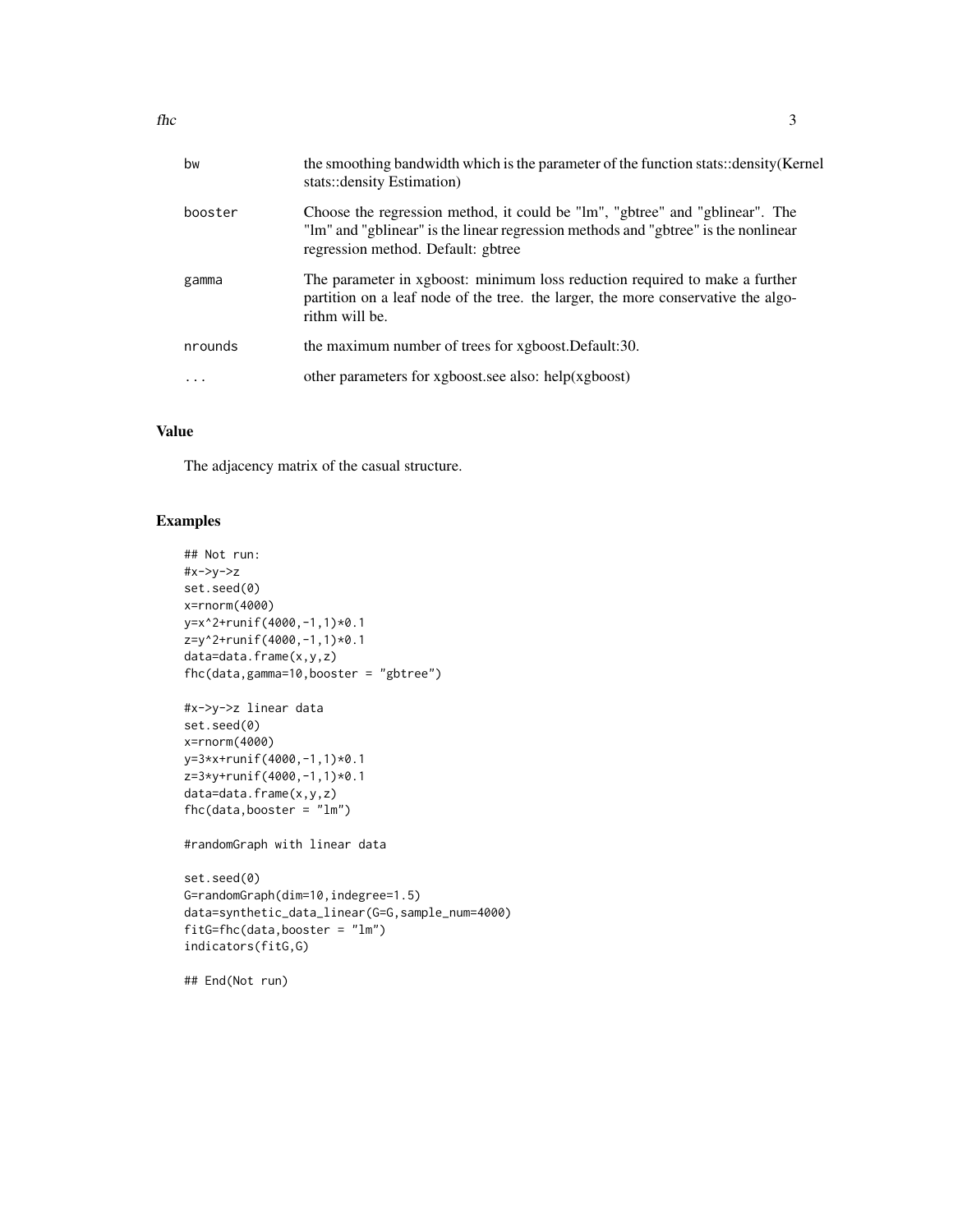| bw       | the smoothing bandwidth which is the parameter of the function stats::density(Kernel<br>stats::density Estimation)                                                                                       |
|----------|----------------------------------------------------------------------------------------------------------------------------------------------------------------------------------------------------------|
| booster  | Choose the regression method, it could be "lm", "gbtree" and "gblinear". The<br>"lm" and "gblinear" is the linear regression methods and "gbtree" is the nonlinear<br>regression method. Default: gbtree |
| gamma    | The parameter in xgboost: minimum loss reduction required to make a further<br>partition on a leaf node of the tree. the larger, the more conservative the algo-<br>rithm will be.                       |
| nrounds  | the maximum number of trees for xgboost. Default:30.                                                                                                                                                     |
| $\cdots$ | other parameters for xgboost.see also: help(xgboost)                                                                                                                                                     |
|          |                                                                                                                                                                                                          |

#### Value

The adjacency matrix of the casual structure.

# Examples

```
## Not run:
#x->y->z
set.seed(0)
x=rnorm(4000)
y=x^2+runif(4000,-1,1)*0.1
z=y^2+runif(4000,-1,1)*0.1
data=data.frame(x,y,z)
fhc(data,gamma=10,booster = "gbtree")
#x->y->z linear data
set.seed(0)
x=rnorm(4000)
y=3*x+runif(4000,-1,1)*0.1
z=3*y+runif(4000,-1,1)*0.1
data=data.frame(x,y,z)
fhc(data,booster = "lm")
#randomGraph with linear data
set.seed(0)
G=randomGraph(dim=10,indegree=1.5)
data=synthetic_data_linear(G=G,sample_num=4000)
fitG=fhc(data,booster = "lm")
indicators(fitG,G)
## End(Not run)
```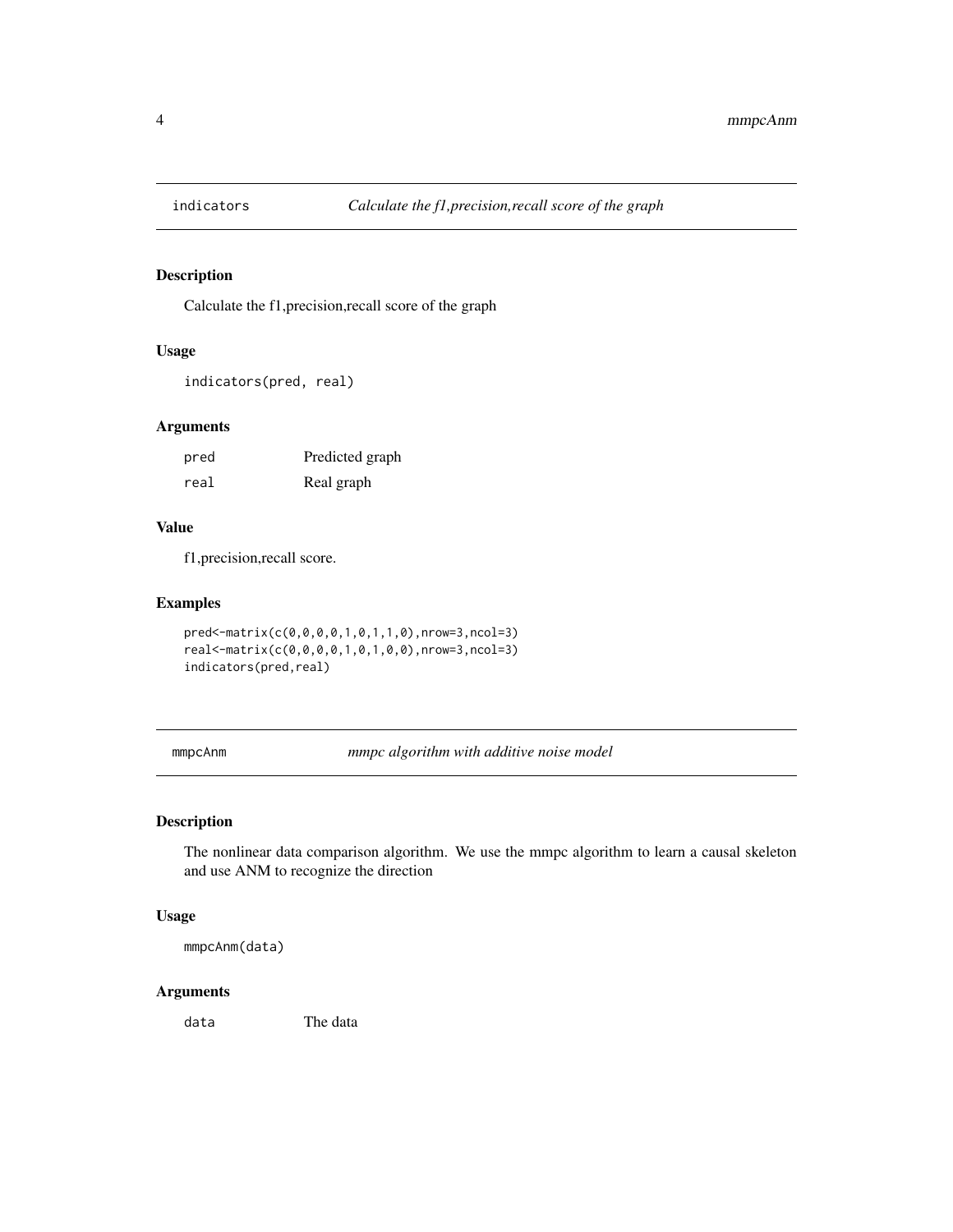<span id="page-3-0"></span>

# Description

Calculate the f1,precision,recall score of the graph

# Usage

```
indicators(pred, real)
```
# Arguments

| pred | Predicted graph |
|------|-----------------|
| real | Real graph      |

#### Value

f1,precision,recall score.

# Examples

```
pred<-matrix(c(0,0,0,0,1,0,1,1,0),nrow=3,ncol=3)
real<-matrix(c(0,0,0,0,1,0,1,0,0),nrow=3,ncol=3)
indicators(pred,real)
```
mmpcAnm *mmpc algorithm with additive noise model*

# Description

The nonlinear data comparison algorithm. We use the mmpc algorithm to learn a causal skeleton and use ANM to recognize the direction

### Usage

mmpcAnm(data)

# Arguments

data The data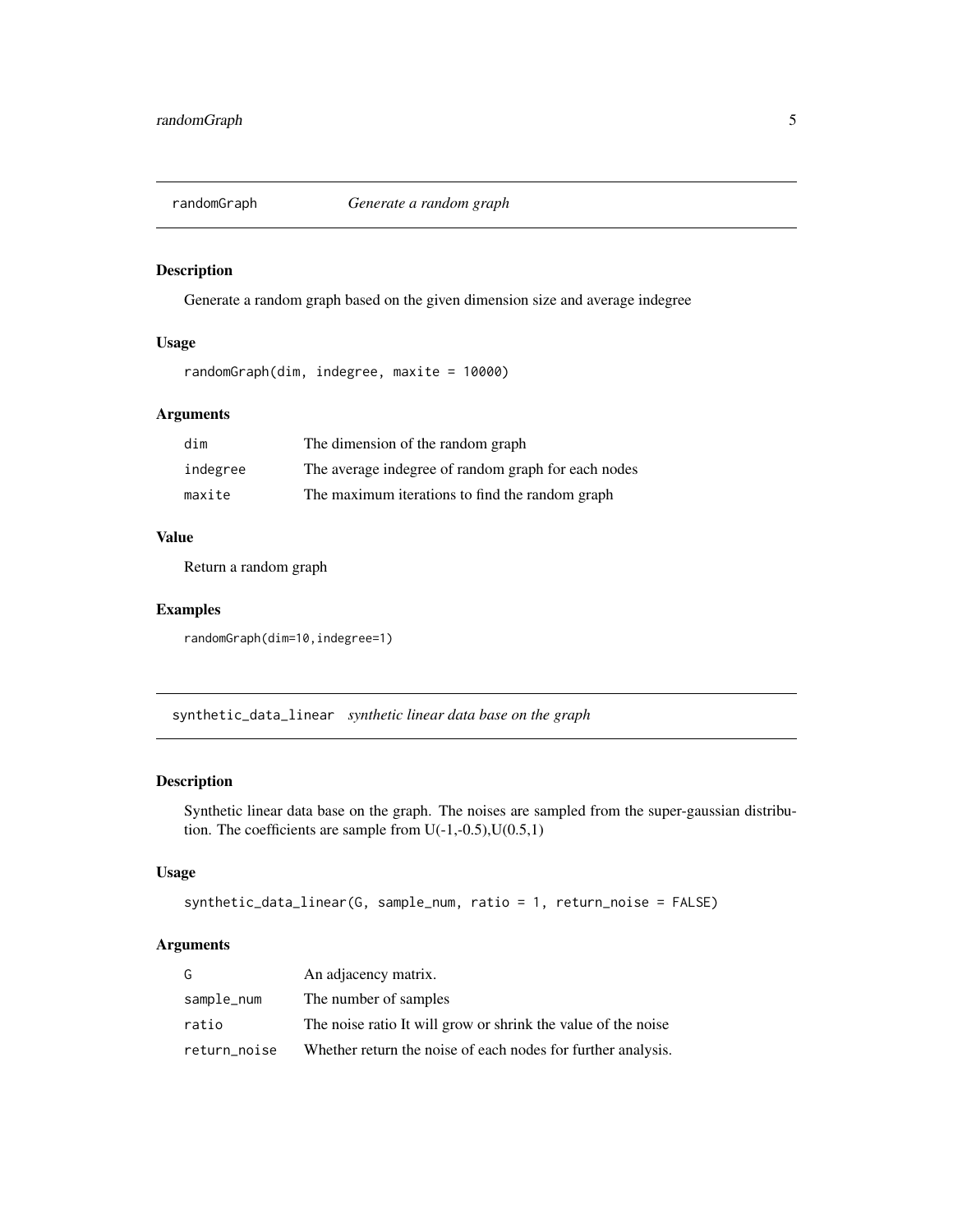<span id="page-4-0"></span>

# Description

Generate a random graph based on the given dimension size and average indegree

# Usage

randomGraph(dim, indegree, maxite = 10000)

# Arguments

| dim      | The dimension of the random graph                   |
|----------|-----------------------------------------------------|
| indegree | The average indegree of random graph for each nodes |
| maxite   | The maximum iterations to find the random graph     |

#### Value

Return a random graph

#### Examples

randomGraph(dim=10,indegree=1)

synthetic\_data\_linear *synthetic linear data base on the graph*

#### Description

Synthetic linear data base on the graph. The noises are sampled from the super-gaussian distribution. The coefficients are sample from  $U(-1,-0.5), U(0.5,1)$ 

# Usage

```
synthetic_data_linear(G, sample_num, ratio = 1, return_noise = FALSE)
```
#### Arguments

| G            | An adjacency matrix.                                          |
|--------------|---------------------------------------------------------------|
| sample_num   | The number of samples                                         |
| ratio        | The noise ratio It will grow or shrink the value of the noise |
| return_noise | Whether return the noise of each nodes for further analysis.  |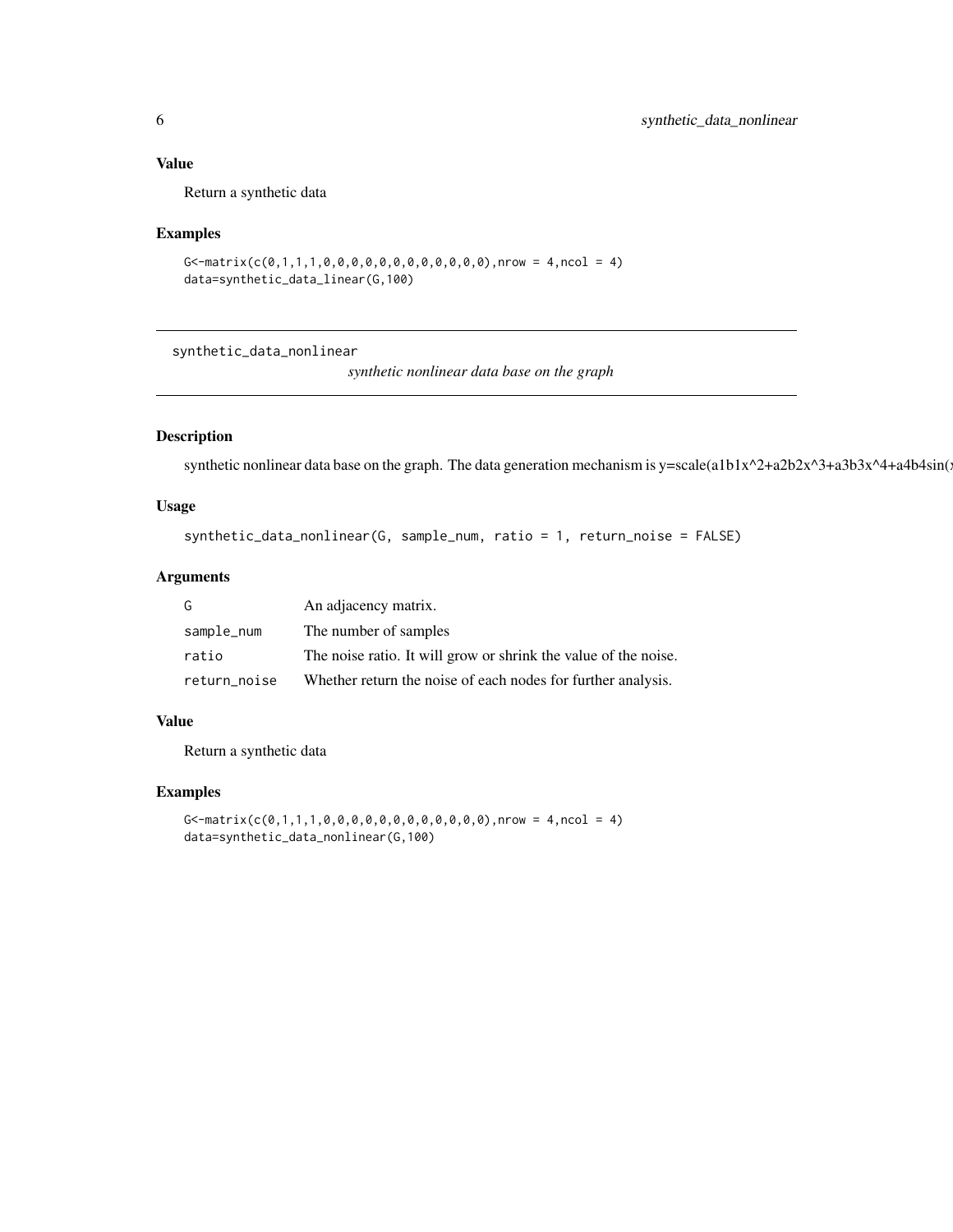# <span id="page-5-0"></span>Value

Return a synthetic data

#### Examples

```
G \le -matrix(c(0,1,1,1,0,0,0,0,0,0,0,0,0,0,0,0,0), nrow = 4, ncol = 4)
data=synthetic_data_linear(G,100)
```
synthetic\_data\_nonlinear

*synthetic nonlinear data base on the graph*

# Description

synthetic nonlinear data base on the graph. The data generation mechanism is y=scale(a1b1x^2+a2b2x^3+a3b3x^4+a4b4sin(x)

# Usage

```
synthetic_data_nonlinear(G, sample_num, ratio = 1, return_noise = FALSE)
```
# Arguments

| G            | An adjacency matrix.                                            |
|--------------|-----------------------------------------------------------------|
| sample_num   | The number of samples                                           |
| ratio        | The noise ratio. It will grow or shrink the value of the noise. |
| return_noise | Whether return the noise of each nodes for further analysis.    |

#### Value

Return a synthetic data

#### Examples

```
G -matrix(c(0,1,1,1,0,0,0,0,0,0,0,0,0,0,0,0,0),nrow = 4,ncol = 4)
data=synthetic_data_nonlinear(G,100)
```